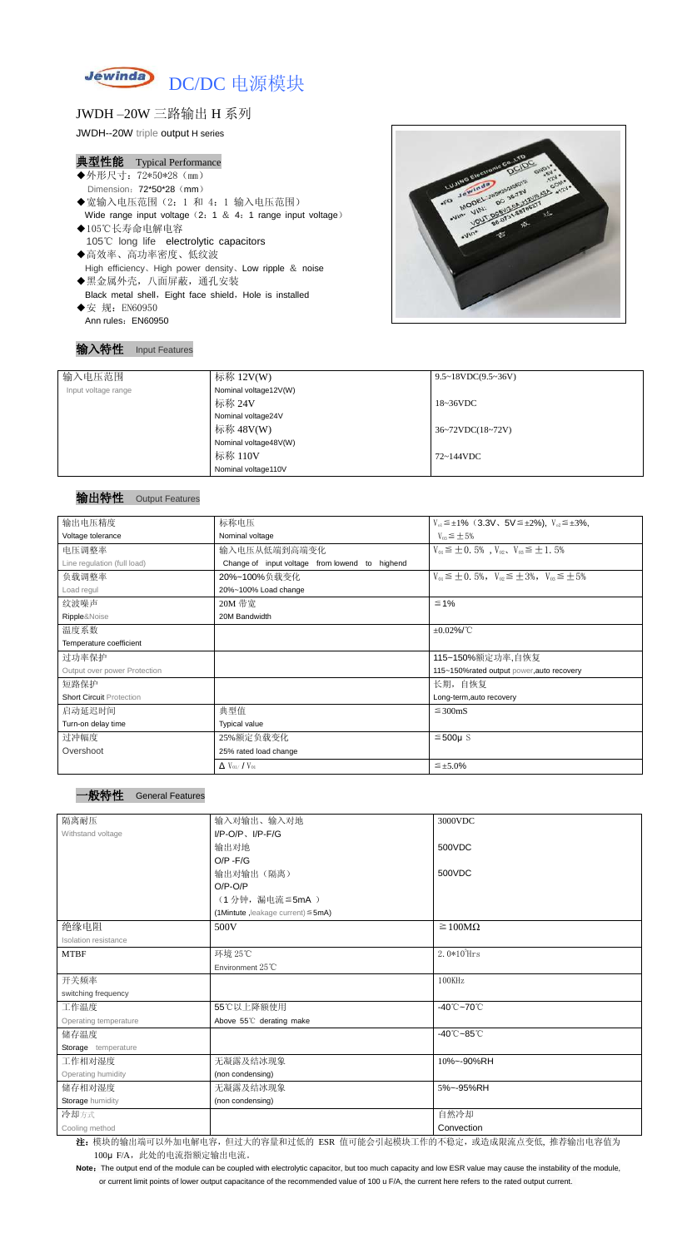

# JWDH –20W 三路输出 H 系列

JWDH--20W triple output H series

#### 典型性能 Typical Performance

- ◆外形尺寸: 72\*50\*28 (mm) Dimension: 72\*50\*28 (mm) ◆宽输入电压范围(2:1 和 4:1 输入电压范围)
- Wide range input voltage (2: 1 & 4: 1 range input voltage) ◆105℃长寿命电解电容 105℃ long life electrolytic capacitors
- ◆高效率、高功率密度、低纹波 High efficiency、High power density、Low ripple & noise ◆黑金属外壳,八面屏蔽,通孔安装 Black metal shell, Eight face shield, Hole is installed
- ◆安 规: EN60950 Ann rules: EN60950



#### 输入特性 Input Features

Note: The output end of the module can be coupled with electrolytic capacitor, but too much capacity and low ESR value may cause the instability of the module, or current limit points of lower output capacitance of the recommended value of 100 u F/A, the current here refers to the rated output current.

| 输入电压范围              | 标称 12V(W)             | $9.5 \sim 18 VDC(9.5 \sim 36 V)$              |
|---------------------|-----------------------|-----------------------------------------------|
| Input voltage range | Nominal voltage12V(W) |                                               |
|                     | 标称 24V                | $18~36\textrm{VDC}$                           |
|                     | Nominal voltage24V    |                                               |
|                     | 标称 48V(W)             | $36 \sim 72 \text{VDC} (18 \sim 72 \text{V})$ |
|                     | Nominal voltage48V(W) |                                               |
|                     | 标称 110V               | $72 \sim 144$ VDC                             |
|                     | Nominal voltage110V   |                                               |

# 输出特性 Output Features

| 输出电压精度                          | 标称电压                                              | $V_{01} \leq \pm 1\%$ (3.3V, 5V $\leq \pm 2\%$ ), $V_{02} \leq \pm 3\%$ , |
|---------------------------------|---------------------------------------------------|---------------------------------------------------------------------------|
| Voltage tolerance               | Nominal voltage                                   | $V_{03} \leq \pm 5\%$                                                     |
| 电压调整率                           | 输入电压从低端到高端变化                                      | $V_{01} \leq \pm 0.5\%$ , $V_{02}$ , $V_{03} \leq \pm 1.5\%$              |
| Line regulation (full load)     | Change of input voltage from lowend to<br>highend |                                                                           |
| 负载调整率                           | 20%~100%负载变化                                      | $V_{01} \leq \pm 0.5\%$ , $V_{02} \leq \pm 3\%$ , $V_{03} \leq \pm 5\%$   |
| Load regul                      | 20%~100% Load change                              |                                                                           |
| 纹波噪声                            | 20M 带宽                                            | $\leq 1\%$                                                                |
| Ripple&Noise                    | 20M Bandwidth                                     |                                                                           |
| 温度系数                            |                                                   | $\pm 0.02\%$ /°C                                                          |
| Temperature coefficient         |                                                   |                                                                           |
| 过功率保护                           |                                                   | 115~150%额定功率,自恢复                                                          |
| Output over power Protection    |                                                   | 115~150%rated output power, auto recovery                                 |
| 短路保护                            |                                                   | 长期, 自恢复                                                                   |
| <b>Short Circuit Protection</b> |                                                   | Long-term, auto recovery                                                  |
| 启动延迟时间                          | 典型值                                               | $\leq$ 300mS                                                              |
| Turn-on delay time              | <b>Typical value</b>                              |                                                                           |
| 过冲幅度                            | 25%额定负载变化                                         | $≤500µ$ S                                                                 |
| Overshoot                       | 25% rated load change                             |                                                                           |
|                                 | $\Delta$ V <sub>01</sub> /V <sub>01</sub>         | $\leq \pm 5.0\%$                                                          |

**General Features** 

| 隔离耐压                  | 输入对输出、输入对地                              | 3000VDC                         |
|-----------------------|-----------------------------------------|---------------------------------|
| Withstand voltage     | $I/P$ -O/P, $I/P$ -F/G                  |                                 |
|                       | 输出对地                                    | 500VDC                          |
|                       | $O/P - F/G$                             |                                 |
|                       | 输出对输出(隔离)                               | 500VDC                          |
|                       | $O/P-O/P$                               |                                 |
|                       | (1分钟,漏电流≦5mA)                           |                                 |
|                       | (1Mintute, leakage current) $\leq$ 5mA) |                                 |
| 绝缘电阻                  | 500V                                    | $\geq 100M\Omega$               |
| Isolation resistance  |                                         |                                 |
| <b>MTBF</b>           | 环境 25℃                                  | $2.0*10^5$ Hrs                  |
|                       | Environment 25°C                        |                                 |
| 开关频率                  |                                         | 100KHz                          |
| switching frequency   |                                         |                                 |
| 工作温度                  | 55℃以上降额使用                               | $-40^{\circ}$ C $-70^{\circ}$ C |
| Operating temperature | Above 55°C derating make                |                                 |
| 储存温度                  |                                         | $-40^{\circ}$ C $-85^{\circ}$ C |
| Storage temperature   |                                         |                                 |
| 工作相对湿度                | 无凝露及结冰现象                                | 10%~-90%RH                      |
| Operating humidity    | (non condensing)                        |                                 |
| 储存相对湿度                | 无凝露及结冰现象                                | 5%~-95%RH                       |
| Storage humidity      | (non condensing)                        |                                 |
| 冷却方式                  |                                         | 自然冷却                            |
| Cooling method        |                                         | Convection                      |

注: 模块的输出端可以外加电解电容,但过大的容量和过低的 ESR 值可能会引起模块工作的不稳定, 或造成限流点变低, 推荐输出电容值为 100μ F/A, 此处的电流指额定输出电流。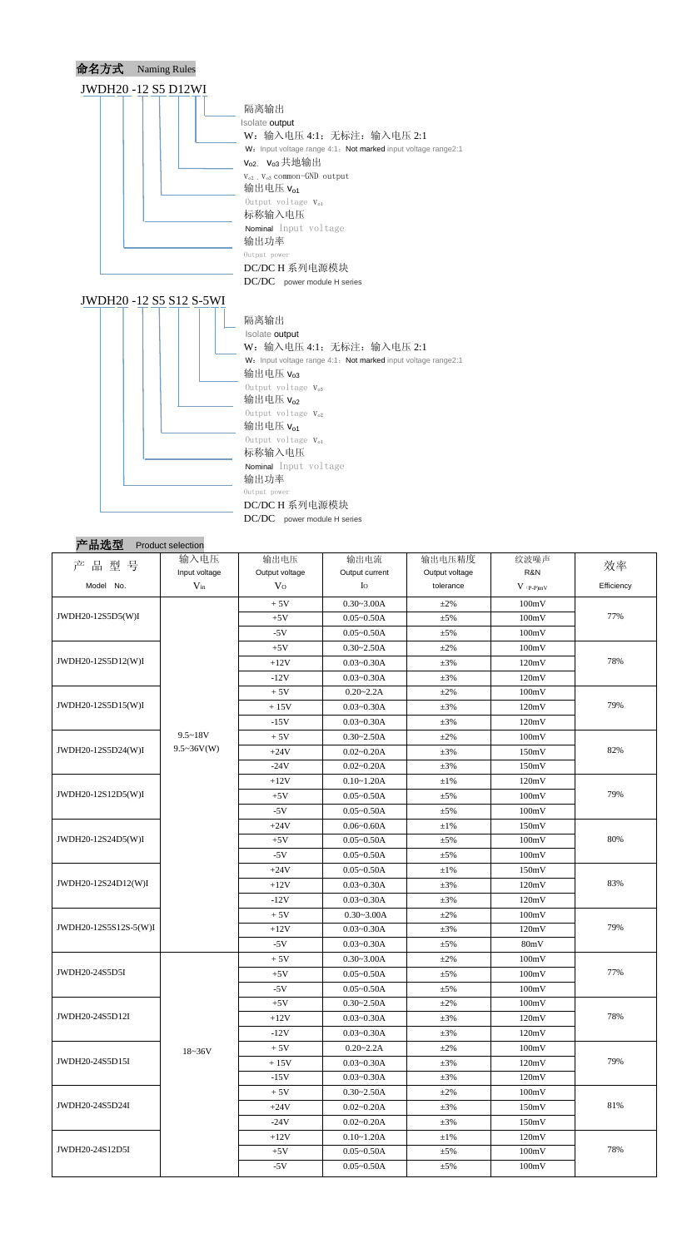

| 产品型号                  | 输入电压              | 输出电压           | 输出电流           | 输出电压精度         | 纹波噪声        | 效率         |
|-----------------------|-------------------|----------------|----------------|----------------|-------------|------------|
|                       | Input voltage     | Output voltage | Output current | Output voltage | R&N         |            |
| Model No.             | $V_{in}$          | V <sub>O</sub> | Io             | tolerance      | $V$ (p-p)mV | Efficiency |
| JWDH20-12S5D5(W)I     |                   | $+5V$          | $0.30 - 3.00A$ | $+2\%$         | 100mV       |            |
|                       |                   | $+5V$          | $0.05 - 0.50A$ | $\pm$ 5%       | 100mV       | 77%        |
|                       |                   | $-5V$          | $0.05 - 0.50A$ | $\pm$ 5%       | 100mV       |            |
|                       |                   | $+5V$          | $0.30 - 2.50A$ | $\pm 2\%$      | 100mV       |            |
| JWDH20-12S5D12(W)I    |                   | $+12V$         | $0.03 - 0.30A$ | $\pm 3\%$      | 120mV       | 78%        |
|                       |                   | $-12V$         | $0.03 - 0.30A$ | $\pm 3\%$      | 120mV       |            |
|                       |                   | $+5V$          | $0.20 - 2.2A$  | $+2\%$         | 100mV       |            |
| JWDH20-12S5D15(W)I    |                   | $+15V$         | $0.03 - 0.30A$ | $\pm 3\%$      | 120mV       | 79%        |
|                       |                   | $-15V$         | $0.03 - 0.30A$ | $\pm 3\%$      | 120mV       |            |
|                       | $9.5 - 18V$       | $+5V$          | $0.30 - 2.50A$ | $\pm 2\%$      | 100mV       |            |
| JWDH20-12S5D24(W)I    | $9.5 \sim 36V(W)$ | $+24V$         | $0.02 - 0.20A$ | $\pm 3\%$      | 150mV       | 82%        |
|                       |                   | $-24V$         | $0.02 - 0.20A$ | $\pm 3\%$      | 150mV       |            |
|                       |                   | $+12V$         | $0.10 - 1.20A$ | $\pm1\%$       | 120mV       |            |
| JWDH20-12S12D5(W)I    |                   | $+5V$          | $0.05 - 0.50A$ | $\pm$ 5%       | 100mV       | 79%        |
|                       |                   | $-5V$          | $0.05 - 0.50A$ | $\pm$ 5%       | 100mV       |            |
|                       |                   | $+24V$         | $0.06 - 0.60A$ | $\pm1\%$       | 150mV       |            |
| JWDH20-12S24D5(W)I    |                   | $+5V$          | $0.05 - 0.50A$ | $\pm 5\%$      | 100mV       | 80%        |
|                       |                   | $-5V$          | $0.05 - 0.50A$ | $\pm$ 5%       | 100mV       |            |
|                       |                   | $+24V$         | $0.05 - 0.50A$ | $\pm1\%$       | 150mV       |            |
| JWDH20-12S24D12(W)I   |                   | $+12V$         | $0.03 - 0.30A$ | $\pm 3\%$      | 120mV       | 83%        |
|                       |                   | $-12V$         | $0.03 - 0.30A$ | $\pm 3\%$      | 120mV       |            |
|                       |                   | $+5V$          | $0.30 - 3.00A$ | $\pm 2\%$      | 100mV       |            |
| JWDH20-12S5S12S-5(W)I |                   | $+12V$         | $0.03 - 0.30A$ | $\pm 3\%$      | 120mV       | 79%        |
|                       |                   | $-5V$          | $0.03 - 0.30A$ | $\pm$ 5%       | 80mV        |            |
|                       |                   | $+5V$          | $0.30 - 3.00A$ | $\pm 2\%$      | 100mV       |            |
| JWDH20-24S5D5I        |                   | $+5V$          | $0.05 - 0.50A$ | $\pm$ 5%       | 100mV       | 77%        |
|                       |                   | $-5V$          | $0.05 - 0.50A$ | $\pm$ 5%       | 100mV       |            |
|                       |                   | $+5V$          | $0.30 - 2.50A$ | $\pm 2\%$      | 100mV       |            |
| JWDH20-24S5D12I       |                   | $+12V$         | $0.03 - 0.30A$ | $\pm 3\%$      | 120mV       | 78%        |
|                       |                   | $-12V$         | $0.03 - 0.30A$ | $\pm 3\%$      | 120mV       |            |
|                       | $18 - 36V$        | $+5V$          | $0.20 - 2.2A$  | $\pm 2\%$      | 100mV       |            |
| JWDH20-24S5D15I       |                   | $+15V$         | $0.03 - 0.30A$ | $\pm 3\%$      | 120mV       | 79%        |
|                       |                   | $-15V$         | $0.03 - 0.30A$ | $\pm 3\%$      | 120mV       |            |
| JWDH20-24S5D24I       |                   | $+5V$          | $0.30 - 2.50A$ | $\pm 2\%$      | 100mV       |            |
|                       |                   | $+24V$         | $0.02 - 0.20A$ | $\pm 3\%$      | 150mV       | 81%        |
|                       |                   | $-24V$         | $0.02 - 0.20A$ | $\pm 3\%$      | 150mV       |            |
|                       |                   | $+12V$         | $0.10 - 1.20A$ | $\pm 1\%$      | 120mV       |            |
| JWDH20-24S12D5I       |                   | $+5V$          | $0.05 - 0.50A$ | $\pm$ 5%       | 100mV       | 78%        |
|                       |                   | $-5V$          | $0.05 - 0.50A$ | ±5%            | 100mV       |            |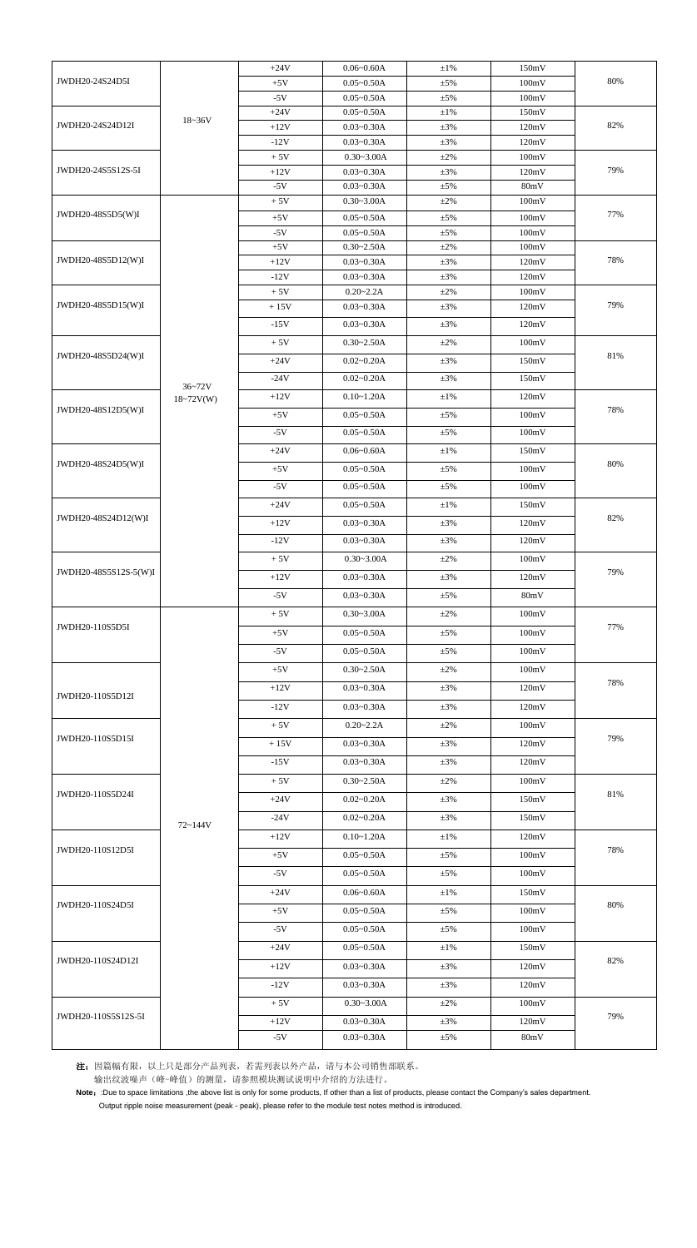|                                      |               | $+24V$         | $0.06 - 0.60A$                   | $\pm 1\%$             | 150mV          |        |  |
|--------------------------------------|---------------|----------------|----------------------------------|-----------------------|----------------|--------|--|
| JWDH20-24S24D5I                      |               | $+5V$          | $0.05 - 0.50A$                   | $\pm$ 5%              | 100mV          | 80%    |  |
|                                      |               | $-5V$          | $0.05 - 0.50A$                   | $\pm$ 5%              | 100mV          |        |  |
| JWDH20-24S24D12I                     |               | $+24V$         | $0.05 - 0.50A$                   | $\pm 1\%$             | 150mV          |        |  |
|                                      | $18 - 36V$    | $+12V$         | $0.03 - 0.30A$                   | $\pm 3\%$             | 120mV          | 82%    |  |
|                                      |               | $-12V$         | $0.03 - 0.30A$                   | $\pm 3\%$             | 120mV          |        |  |
| JWDH20-24S5S12S-5I                   |               | $+5V$          | $0.30 - 3.00A$                   | $\pm 2\%$             | 100mV          |        |  |
|                                      |               | $+12V$         | $0.03 - 0.30A$                   | $\pm 3\%$             | 120mV          | 79%    |  |
|                                      |               | $-5V$          | $0.03 - 0.30A$                   | $\pm$ 5%              | 80mV           |        |  |
| JWDH20-48S5D5(W)I                    |               | $+5V$          | $0.30 - 3.00A$                   | $\pm 2\%$             | 100mV          | 77%    |  |
|                                      |               | $+5V$<br>$-5V$ | $0.05 - 0.50A$<br>$0.05 - 0.50A$ | $\pm 5\%$<br>$\pm$ 5% | 100mV<br>100mV |        |  |
|                                      |               | $+5V$          | $0.30 - 2.50A$                   | $\pm 2\%$             | 100mV          |        |  |
| JWDH20-48S5D12(W)I                   |               | $+12V$         | $0.03 - 0.30A$                   | $\pm 3\%$             | 120mV          | 78%    |  |
|                                      |               | $-12V$         | $0.03 - 0.30A$                   | $\pm 3\%$             | 120mV          |        |  |
|                                      |               | $+5V$          | $0.20 - 2.2A$                    | $\pm 2\%$             | 100mV          |        |  |
| JWDH20-48S5D15(W)I                   |               | $+15V$         | $0.03 - 0.30A$                   | $\pm 3\%$             | 120mV          | 79%    |  |
|                                      |               | $-15V$         | $0.03 - 0.30A$                   | $\pm 3\%$             | 120mV          |        |  |
|                                      |               | $+5V$          | $0.30 - 2.50A$                   | $\pm 2\%$             | 100mV          |        |  |
| JWDH20-48S5D24(W)I                   |               | $+24V$         | $0.02 - 0.20A$                   | $\pm 3\%$             | 150mV          | 81%    |  |
|                                      |               | $-24V$         | $0.02 - 0.20A$                   | $\pm 3\%$             | 150mV          |        |  |
|                                      | $36 - 72V$    |                |                                  |                       |                |        |  |
| JWDH20-48S12D5(W)I                   | $18 - 72V(W)$ | $+12V$         | $0.10 - 1.20A$                   | $\pm 1\%$             | 120mV          | 78%    |  |
|                                      |               | $+5V$          | $0.05 - 0.50A$                   | $\pm$ 5%              | 100mV          |        |  |
|                                      |               | $-5V$          | $0.05 - 0.50A$                   | $\pm$ 5%              | 100mV          |        |  |
|                                      |               | $+24V$         | $0.06 - 0.60A$                   | $\pm 1\%$             | 150mV          |        |  |
| JWDH20-48S24D5(W)I                   |               | $+5V$          | $0.05 - 0.50A$                   | $\pm 5\%$             | 100mV          | 80%    |  |
|                                      |               | $-5V$          | $0.05 - 0.50A$                   | $\pm$ 5%              | 100mV          |        |  |
|                                      |               | $+24V$         | $0.05 - 0.50A$                   | $\pm 1\%$             | 150mV          |        |  |
| JWDH20-48S24D12(W)I                  |               | $+12V$         | $0.03 - 0.30A$                   | $\pm 3\%$             | 120mV          | 82%    |  |
|                                      |               | $-12V$         | $0.03 - 0.30A$                   | $\pm 3\%$             | 120mV          |        |  |
|                                      |               |                |                                  |                       |                |        |  |
| JWDH20-48S5S12S-5(W)I                |               | $+5V$          | $0.30 - 3.00A$                   | $\pm 2\%$             | 100mV          | 79%    |  |
|                                      |               | $+12V$         | $0.03 - 0.30A$                   | $\pm 3\%$             | 120mV          |        |  |
|                                      |               | $-5V$          | $0.03 - 0.30A$                   | $\pm$ 5%              | 80mV           |        |  |
|                                      |               | $+5V$          | $0.30 - 3.00A$                   | $\pm 2\%$             | 100mV          |        |  |
| JWDH20-110S5D5I                      |               | $+5V$          | $0.05 - 0.50A$                   | $\pm 5\%$             | 100mV          | 77%    |  |
|                                      |               | $-5V$          | $0.05 - 0.50A$                   | $\pm 5\%$             | 100mV          |        |  |
|                                      |               | $+5V$          | $0.30 - 2.50A$                   | $\pm 2\%$             | 100mV          |        |  |
|                                      |               | $+12V$         | $0.03 - 0.30A$                   | $\pm 3\%$             | 120mV          | 78%    |  |
| JWDH20-110S5D12I                     |               |                |                                  |                       |                |        |  |
|                                      |               | $-12V$         | $0.03 - 0.30A$                   | $\pm 3\%$             | 120mV          |        |  |
|                                      |               | $+5V$          | $0.20 - 2.2A$                    | $\pm 2\%$             | 100mV          |        |  |
| JWDH20-110S5D15I                     |               | $+15V$         | $0.03 - 0.30A$                   | $\pm 3\%$             | 120mV          | 79%    |  |
|                                      |               | $-15V$         | $0.03 - 0.30A$                   | $\pm 3\%$             | 120mV          |        |  |
|                                      |               | $+5V$          | $0.30 - 2.50A$                   | $\pm 2\%$             | 100mV          |        |  |
| JWDH20-110S5D24I                     |               | $+24V$         | $0.02 - 0.20A$                   | $\pm 3\%$             | 150mV          | $81\%$ |  |
|                                      | $72 - 144V$   | $-24V$         | $0.02 - 0.20A$                   | $\pm 3\%$             | 150mV          |        |  |
|                                      |               | $+12V$         | $0.10 - 1.20A$                   | $\pm 1\%$             | 120mV          | 78%    |  |
| JWDH20-110S12D5I<br>JWDH20-110S24D5I |               |                |                                  |                       |                |        |  |
|                                      |               | $+5V$          | $0.05 - 0.50A$                   | $\pm$ 5%              | 100mV          |        |  |
|                                      |               | $-5V$          | $0.05 - 0.50A$                   | $\pm$ 5%              | 100mV          |        |  |
|                                      |               | $+24V$         | $0.06 - 0.60A$                   | $\pm 1\%$             | 150mV          | 80%    |  |
|                                      |               | $+5V$          | $0.05 - 0.50A$                   | $\pm$ 5%              | 100mV          |        |  |
|                                      |               | $-5V$          | $0.05 - 0.50A$                   | $\pm$ 5%              | 100mV          |        |  |
|                                      |               | $+24V$         | $0.05 - 0.50A$                   | $\pm 1\%$             | 150mV          |        |  |
| JWDH20-110S24D12I                    |               | $+12V$         | $0.03 - 0.30A$                   | $\pm 3\%$             | 120mV          | 82%    |  |
|                                      |               |                |                                  |                       |                |        |  |
|                                      |               | $-12V$         | $0.03 - 0.30A$                   | $\pm 3\%$             | 120mV          |        |  |
|                                      |               | $+5V$          | $0.30 - 3.00A$                   | $\pm 2\%$             | 100mV          |        |  |
| JWDH20-110S5S12S-5I                  |               | $+12V$         | $0.03 - 0.30A$                   | $\pm 3\%$             | 120mV          | 79%    |  |
|                                      |               | $-5V$          | $0.03 - 0.30A$                   | $\pm$ 5%              | 80mV           |        |  |

注:因篇幅有限,以上只是部分产品列表,若需列表以外产品,请与本公司销售部联系。 输出纹波噪声(峰-峰值)的测量,请参照模块测试说明中介绍的方法进行。

Note: :Due to space limitations ,the above list is only for some products, If other than a list of products, please contact the Company's sales department.

Output ripple noise measurement (peak - peak), please refer to the module test notes method is introduced.